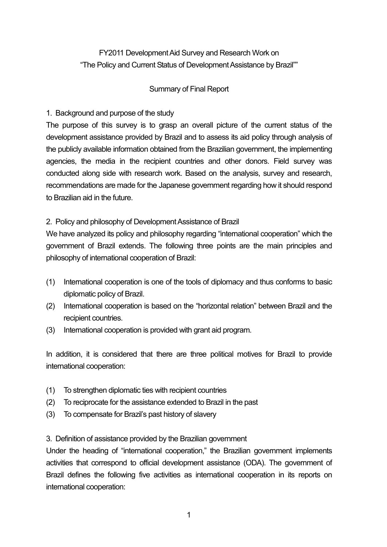# FY2011 Development Aid Survey and Research Work on "The Policy and Current Status of Development Assistance by Brazil""

### Summary of Final Report

## 1. Background and purpose of the study

The purpose of this survey is to grasp an overall picture of the current status of the development assistance provided by Brazil and to assess its aid policy through analysis of the publicly available information obtained from the Brazilian government, the implementing agencies, the media in the recipient countries and other donors. Field survey was conducted along side with research work. Based on the analysis, survey and research, recommendations are made for the Japanese government regarding how it should respond to Brazilian aid in the future.

# 2. Policy and philosophy of Development Assistance of Brazil

We have analyzed its policy and philosophy regarding "international cooperation" which the government of Brazil extends. The following three points are the main principles and philosophy of international cooperation of Brazil:

- (1) International cooperation is one of the tools of diplomacy and thus conforms to basic diplomatic policy of Brazil.
- (2) International cooperation is based on the "horizontal relation" between Brazil and the recipient countries.
- (3) International cooperation is provided with grant aid program.

In addition, it is considered that there are three political motives for Brazil to provide international cooperation:

- (1) To strengthen diplomatic ties with recipient countries
- (2) To reciprocate for the assistance extended to Brazil in the past
- (3) To compensate for Brazil's past history of slavery

# 3. Definition of assistance provided by the Brazilian government

Under the heading of "international cooperation," the Brazilian government implements activities that correspond to official development assistance (ODA). The government of Brazil defines the following five activities as international cooperation in its reports on international cooperation: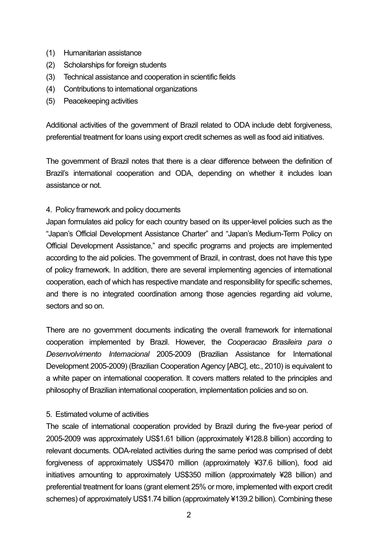- (1) Humanitarian assistance
- (2) Scholarships for foreign students
- (3) Technical assistance and cooperation in scientific fields
- (4) Contributions to international organizations
- (5) Peacekeeping activities

Additional activities of the government of Brazil related to ODA include debt forgiveness, preferential treatment for loans using export credit schemes as well as food aid initiatives.

The government of Brazil notes that there is a clear difference between the definition of Brazil's international cooperation and ODA, depending on whether it includes loan assistance or not.

### 4. Policy framework and policy documents

Japan formulates aid policy for each country based on its upper-level policies such as the "Japan's Official Development Assistance Charter" and "Japan's Medium-Term Policy on Official Development Assistance," and specific programs and projects are implemented according to the aid policies. The government of Brazil, in contrast, does not have this type of policy framework. In addition, there are several implementing agencies of international cooperation, each of which has respective mandate and responsibility for specific schemes, and there is no integrated coordination among those agencies regarding aid volume, sectors and so on.

There are no government documents indicating the overall framework for international cooperation implemented by Brazil. However, the *Cooperacao Brasileira para o Desenvolvimento Internacional* 2005-2009 (Brazilian Assistance for International Development 2005-2009) (Brazilian Cooperation Agency [ABC], etc., 2010) is equivalent to a white paper on international cooperation. It covers matters related to the principles and philosophy of Brazilian international cooperation, implementation policies and so on.

### 5. Estimated volume of activities

The scale of international cooperation provided by Brazil during the five-year period of 2005-2009 was approximately US\$1.61 billion (approximately ¥128.8 billion) according to relevant documents. ODA-related activities during the same period was comprised of debt forgiveness of approximately US\$470 million (approximately ¥37.6 billion), food aid initiatives amounting to approximately US\$350 million (approximately ¥28 billion) and preferential treatment for loans (grant element 25% or more, implemented with export credit schemes) of approximately US\$1.74 billion (approximately ¥139.2 billion). Combining these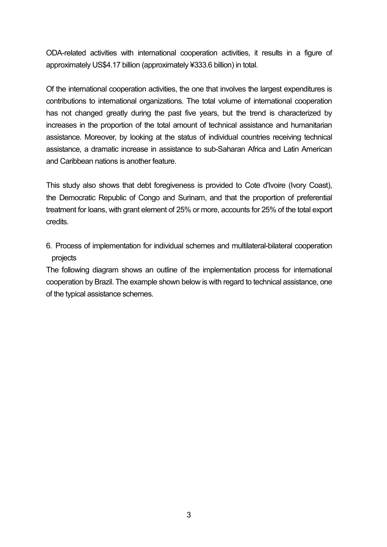ODA-related activities with international cooperation activities, it results in a figure of approximately US\$4.17 billion (approximately ¥333.6 billion) in total.

Of the international cooperation activities, the one that involves the largest expenditures is contributions to international organizations. The total volume of international cooperation has not changed greatly during the past five years, but the trend is characterized by increases in the proportion of the total amount of technical assistance and humanitarian assistance. Moreover, by looking at the status of individual countries receiving technical assistance, a dramatic increase in assistance to sub-Saharan Africa and Latin American and Caribbean nations is another feature.

This study also shows that debt foregiveness is provided to Cote d'Ivoire (Ivory Coast), the Democratic Republic of Congo and Surinam, and that the proportion of preferential treatment for loans, with grant element of 25% or more, accounts for 25% of the total export credits.

6. Process of implementation for individual schemes and multilateral-bilateral cooperation projects

The following diagram shows an outline of the implementation process for international cooperation by Brazil. The example shown below is with regard to technical assistance, one of the typical assistance schemes.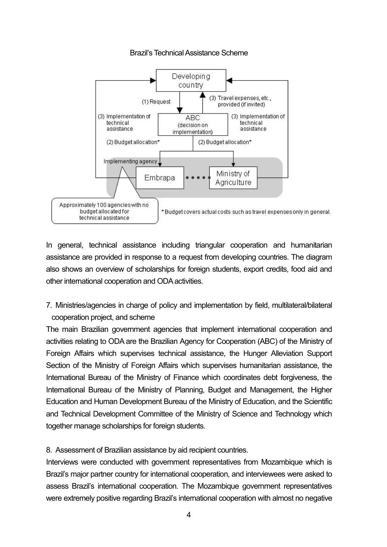

#### Brazil's Technical Assistance Scheme

In general, technical assistance including triangular cooperation and humanitarian assistance are provided in response to a request from developing countries. The diagram also shows an overview of scholarships for foreign students, export credits, food aid and other international cooperation and ODA activities.

7. Ministries/agencies in charge of policy and implementation by field, multilateral/bilateral cooperation project, and scheme

The main Brazilian government agencies that implement international cooperation and activities relating to ODA are the Brazilian Agency for Cooperation (ABC) of the Ministry of Foreign Affairs which supervises technical assistance, the Hunger Alleviation Support Section of the Ministry of Foreign Affairs which supervises humanitarian assistance, the International Bureau of the Ministry of Finance which coordinates debt forgiveness, the International Bureau of the Ministry of Planning, Budget and Management, the Higher Education and Human Development Bureau of the Ministry of Education, and the Scientific and Technical Development Committee of the Ministry of Science and Technology which together manage scholarships for foreign students.

8. Assessment of Brazilian assistance by aid recipient countries.

Interviews were conducted with government representatives from Mozambique which is Brazil's major partner country for international cooperation, and interviewees were asked to assess Brazil's international cooperation. The Mozambique government representatives were extremely positive regarding Brazil's international cooperation with almost no negative